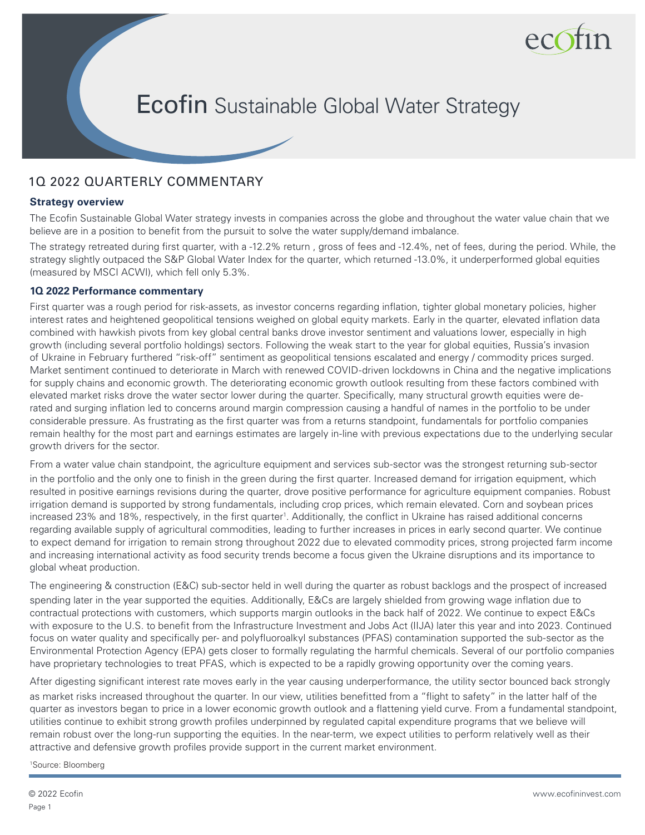

# **Ecofin** Sustainable Global Water Strategy

## 1Q 2022 QUARTERLY COMMENTARY

## **Strategy overview**

The Ecofin Sustainable Global Water strategy invests in companies across the globe and throughout the water value chain that we believe are in a position to benefit from the pursuit to solve the water supply/demand imbalance.

The strategy retreated during first quarter, with a -12.2% return , gross of fees and -12.4%, net of fees, during the period. While, the strategy slightly outpaced the S&P Global Water Index for the quarter, which returned -13.0%, it underperformed global equities (measured by MSCI ACWI), which fell only 5.3%.

## **1Q 2022 Performance commentary**

First quarter was a rough period for risk-assets, as investor concerns regarding inflation, tighter global monetary policies, higher interest rates and heightened geopolitical tensions weighed on global equity markets. Early in the quarter, elevated inflation data combined with hawkish pivots from key global central banks drove investor sentiment and valuations lower, especially in high growth (including several portfolio holdings) sectors. Following the weak start to the year for global equities, Russia's invasion of Ukraine in February furthered "risk-off" sentiment as geopolitical tensions escalated and energy / commodity prices surged. Market sentiment continued to deteriorate in March with renewed COVID-driven lockdowns in China and the negative implications for supply chains and economic growth. The deteriorating economic growth outlook resulting from these factors combined with elevated market risks drove the water sector lower during the quarter. Specifically, many structural growth equities were derated and surging inflation led to concerns around margin compression causing a handful of names in the portfolio to be under considerable pressure. As frustrating as the first quarter was from a returns standpoint, fundamentals for portfolio companies remain healthy for the most part and earnings estimates are largely in-line with previous expectations due to the underlying secular growth drivers for the sector.

From a water value chain standpoint, the agriculture equipment and services sub-sector was the strongest returning sub-sector in the portfolio and the only one to finish in the green during the first quarter. Increased demand for irrigation equipment, which resulted in positive earnings revisions during the quarter, drove positive performance for agriculture equipment companies. Robust irrigation demand is supported by strong fundamentals, including crop prices, which remain elevated. Corn and soybean prices increased 23% and 18%, respectively, in the first quarter<sup>1</sup>. Additionally, the conflict in Ukraine has raised additional concerns regarding available supply of agricultural commodities, leading to further increases in prices in early second quarter. We continue to expect demand for irrigation to remain strong throughout 2022 due to elevated commodity prices, strong projected farm income and increasing international activity as food security trends become a focus given the Ukraine disruptions and its importance to global wheat production.

The engineering & construction (E&C) sub-sector held in well during the quarter as robust backlogs and the prospect of increased spending later in the year supported the equities. Additionally, E&Cs are largely shielded from growing wage inflation due to contractual protections with customers, which supports margin outlooks in the back half of 2022. We continue to expect E&Cs with exposure to the U.S. to benefit from the Infrastructure Investment and Jobs Act (IIJA) later this year and into 2023. Continued focus on water quality and specifically per- and polyfluoroalkyl substances (PFAS) contamination supported the sub-sector as the Environmental Protection Agency (EPA) gets closer to formally regulating the harmful chemicals. Several of our portfolio companies have proprietary technologies to treat PFAS, which is expected to be a rapidly growing opportunity over the coming years.

After digesting significant interest rate moves early in the year causing underperformance, the utility sector bounced back strongly as market risks increased throughout the quarter. In our view, utilities benefitted from a "flight to safety" in the latter half of the quarter as investors began to price in a lower economic growth outlook and a flattening yield curve. From a fundamental standpoint, utilities continue to exhibit strong growth profiles underpinned by regulated capital expenditure programs that we believe will remain robust over the long-run supporting the equities. In the near-term, we expect utilities to perform relatively well as their attractive and defensive growth profiles provide support in the current market environment.

1 Source: Bloomberg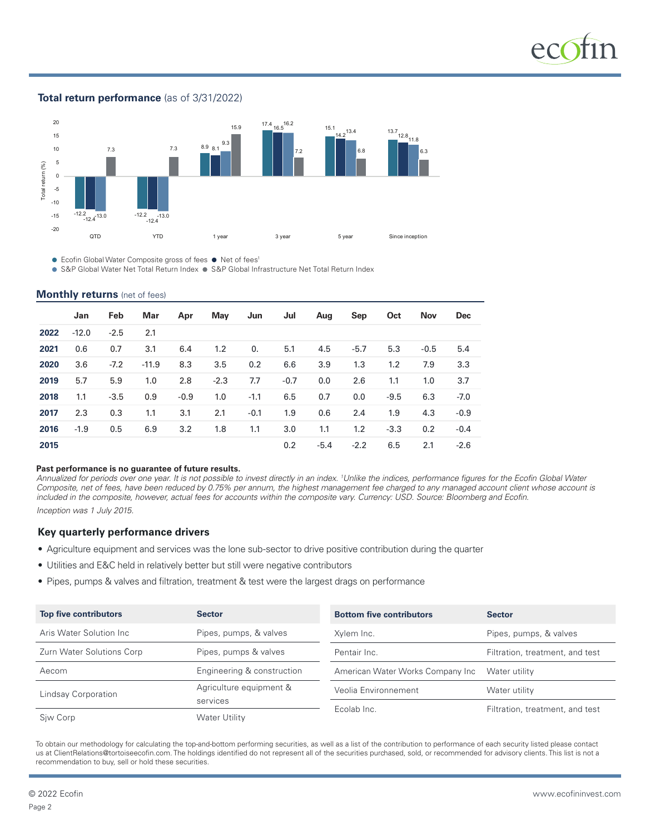

## **Total return performance** (as of 3/31/2022)



● Ecofin Global Water Composite gross of fees ● Net of fees<sup>1</sup>

● S&P Global Water Net Total Return Index ● S&P Global Infrastructure Net Total Return Index

#### **Monthly returns** (net of fees)

|      | Jan     | Feb    | Mar     | Apr    | May    | Jun    | Jul    | Aug    | Sep    | Oct    | <b>Nov</b> | <b>Dec</b> |
|------|---------|--------|---------|--------|--------|--------|--------|--------|--------|--------|------------|------------|
| 2022 | $-12.0$ | $-2.5$ | 2.1     |        |        |        |        |        |        |        |            |            |
| 2021 | 0.6     | 0.7    | 3.1     | 6.4    | 1.2    | 0.     | 5.1    | 4.5    | $-5.7$ | 5.3    | $-0.5$     | 5.4        |
| 2020 | 3.6     | $-7.2$ | $-11.9$ | 8.3    | 3.5    | 0.2    | 6.6    | 3.9    | 1.3    | 1.2    | 7.9        | 3.3        |
| 2019 | 5.7     | 5.9    | 1.0     | 2.8    | $-2.3$ | 7.7    | $-0.7$ | 0.0    | 2.6    | 1.1    | 1.0        | 3.7        |
| 2018 | 1.1     | $-3.5$ | 0.9     | $-0.9$ | 1.0    | $-1.1$ | 6.5    | 0.7    | 0.0    | $-9.5$ | 6.3        | $-7.0$     |
| 2017 | 2.3     | 0.3    | 1.1     | 3.1    | 2.1    | $-0.1$ | 1.9    | 0.6    | 2.4    | 1.9    | 4.3        | $-0.9$     |
| 2016 | $-1.9$  | 0.5    | 6.9     | 3.2    | 1.8    | 1.1    | 3.0    | 1.1    | 1.2    | $-3.3$ | 0.2        | $-0.4$     |
| 2015 |         |        |         |        |        |        | 0.2    | $-5.4$ | $-2.2$ | 6.5    | 2.1        | $-2.6$     |

#### **Past performance is no guarantee of future results.**

Annualized for periods over one year. It is not possible to invest directly in an index. <sup>1</sup>Unlike the indices, performance figures for the Ecofin Global Water *Composite, net of fees, have been reduced by 0.75% per annum, the highest management fee charged to any managed account client whose account is included in the composite, however, actual fees for accounts within the composite vary. Currency: USD. Source: Bloomberg and Ecofin.*

*Inception was 1 July 2015.*

### **Key quarterly performance drivers**

- Agriculture equipment and services was the lone sub-sector to drive positive contribution during the quarter
- Utilities and E&C held in relatively better but still were negative contributors
- Pipes, pumps & valves and filtration, treatment & test were the largest drags on performance

| <b>Top five contributors</b> | <b>Sector</b>              | <b>Bottom five contributors</b>  | <b>Sector</b>                   |  |  |
|------------------------------|----------------------------|----------------------------------|---------------------------------|--|--|
| Aris Water Solution Inc      | Pipes, pumps, & valves     | Xylem Inc.                       | Pipes, pumps, & valves          |  |  |
| Zurn Water Solutions Corp    | Pipes, pumps & valves      | Pentair Inc.                     | Filtration, treatment, and test |  |  |
| Aecom                        | Engineering & construction | American Water Works Company Inc | Water utility                   |  |  |
| Lindsay Corporation          | Agriculture equipment &    | Veolia Environnement             | Water utility                   |  |  |
|                              | services                   | Ecolab Inc.                      | Filtration, treatment, and test |  |  |
| Siw Corp                     | Water Utility              |                                  |                                 |  |  |

To obtain our methodology for calculating the top-and-bottom performing securities, as well as a list of the contribution to performance of each security listed please contact us at ClientRelations@tortoiseecofin.com. The holdings identified do not represent all of the securities purchased, sold, or recommended for advisory clients. This list is not a recommendation to buy, sell or hold these securities.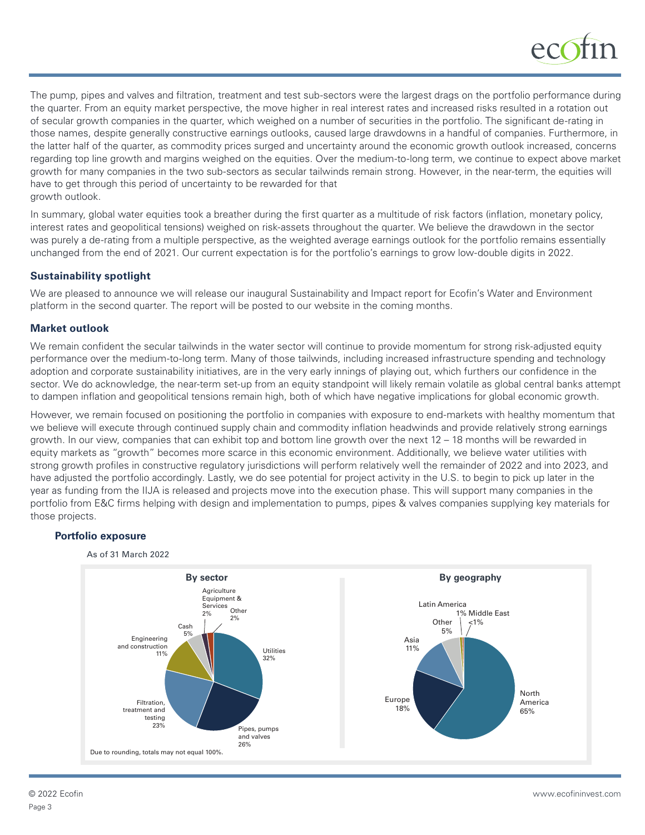

The pump, pipes and valves and filtration, treatment and test sub-sectors were the largest drags on the portfolio performance during the quarter. From an equity market perspective, the move higher in real interest rates and increased risks resulted in a rotation out of secular growth companies in the quarter, which weighed on a number of securities in the portfolio. The significant de-rating in those names, despite generally constructive earnings outlooks, caused large drawdowns in a handful of companies. Furthermore, in the latter half of the quarter, as commodity prices surged and uncertainty around the economic growth outlook increased, concerns regarding top line growth and margins weighed on the equities. Over the medium-to-long term, we continue to expect above market growth for many companies in the two sub-sectors as secular tailwinds remain strong. However, in the near-term, the equities will have to get through this period of uncertainty to be rewarded for that growth outlook.

In summary, global water equities took a breather during the first quarter as a multitude of risk factors (inflation, monetary policy, interest rates and geopolitical tensions) weighed on risk-assets throughout the quarter. We believe the drawdown in the sector was purely a de-rating from a multiple perspective, as the weighted average earnings outlook for the portfolio remains essentially unchanged from the end of 2021. Our current expectation is for the portfolio's earnings to grow low-double digits in 2022.

## **Sustainability spotlight**

We are pleased to announce we will release our inaugural Sustainability and Impact report for Ecofin's Water and Environment platform in the second quarter. The report will be posted to our website in the coming months.

## **Market outlook**

We remain confident the secular tailwinds in the water sector will continue to provide momentum for strong risk-adjusted equity performance over the medium-to-long term. Many of those tailwinds, including increased infrastructure spending and technology adoption and corporate sustainability initiatives, are in the very early innings of playing out, which furthers our confidence in the sector. We do acknowledge, the near-term set-up from an equity standpoint will likely remain volatile as global central banks attempt to dampen inflation and geopolitical tensions remain high, both of which have negative implications for global economic growth.

However, we remain focused on positioning the portfolio in companies with exposure to end-markets with healthy momentum that we believe will execute through continued supply chain and commodity inflation headwinds and provide relatively strong earnings growth. In our view, companies that can exhibit top and bottom line growth over the next 12 – 18 months will be rewarded in equity markets as "growth" becomes more scarce in this economic environment. Additionally, we believe water utilities with strong growth profiles in constructive regulatory jurisdictions will perform relatively well the remainder of 2022 and into 2023, and have adjusted the portfolio accordingly. Lastly, we do see potential for project activity in the U.S. to begin to pick up later in the year as funding from the IIJA is released and projects move into the execution phase. This will support many companies in the portfolio from E&C firms helping with design and implementation to pumps, pipes & valves companies supplying key materials for those projects.

## **Portfolio exposure**



Page 3